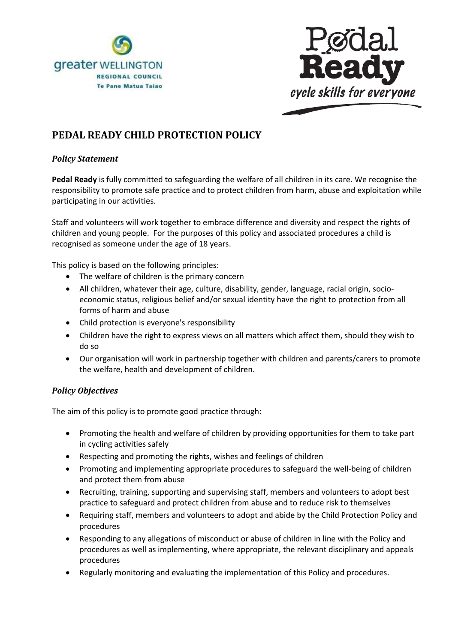



# **PEDAL READY CHILD PROTECTION POLICY**

#### *Policy Statement*

**Pedal Ready** is fully committed to safeguarding the welfare of all children in its care. We recognise the responsibility to promote safe practice and to protect children from harm, abuse and exploitation while participating in our activities.

Staff and volunteers will work together to embrace difference and diversity and respect the rights of children and young people. For the purposes of this policy and associated procedures a child is recognised as someone under the age of 18 years.

This policy is based on the following principles:

- The welfare of children is the primary concern
- All children, whatever their age, culture, disability, gender, language, racial origin, socioeconomic status, religious belief and/or sexual identity have the right to protection from all forms of harm and abuse
- Child protection is everyone's responsibility
- Children have the right to express views on all matters which affect them, should they wish to do so
- Our organisation will work in partnership together with children and parents/carers to promote the welfare, health and development of children.

## *Policy Objectives*

The aim of this policy is to promote good practice through:

- Promoting the health and welfare of children by providing opportunities for them to take part in cycling activities safely
- Respecting and promoting the rights, wishes and feelings of children
- Promoting and implementing appropriate procedures to safeguard the well-being of children and protect them from abuse
- Recruiting, training, supporting and supervising staff, members and volunteers to adopt best practice to safeguard and protect children from abuse and to reduce risk to themselves
- Requiring staff, members and volunteers to adopt and abide by the Child Protection Policy and procedures
- Responding to any allegations of misconduct or abuse of children in line with the Policy and procedures as well as implementing, where appropriate, the relevant disciplinary and appeals procedures
- Regularly monitoring and evaluating the implementation of this Policy and procedures.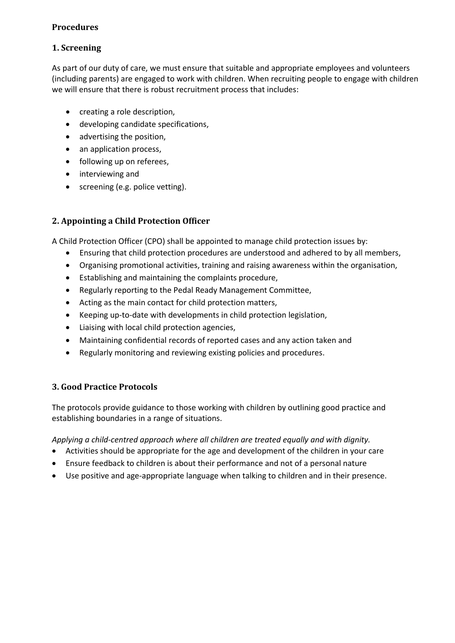## **Procedures**

## **1. Screening**

As part of our duty of care, we must ensure that suitable and appropriate employees and volunteers (including parents) are engaged to work with children. When recruiting people to engage with children we will ensure that there is robust recruitment process that includes:

- creating a role description,
- developing candidate specifications,
- advertising the position,
- an application process,
- following up on referees,
- interviewing and
- screening (e.g. police vetting).

## **2. Appointing a Child Protection Officer**

A Child Protection Officer (CPO) shall be appointed to manage child protection issues by:

- Ensuring that child protection procedures are understood and adhered to by all members,
- Organising promotional activities, training and raising awareness within the organisation,
- Establishing and maintaining the complaints procedure,
- Regularly reporting to the Pedal Ready Management Committee,
- Acting as the main contact for child protection matters,
- Keeping up-to-date with developments in child protection legislation,
- Liaising with local child protection agencies,
- Maintaining confidential records of reported cases and any action taken and
- Regularly monitoring and reviewing existing policies and procedures.

## **3. Good Practice Protocols**

The protocols provide guidance to those working with children by outlining good practice and establishing boundaries in a range of situations.

*Applying a child-centred approach where all children are treated equally and with dignity.* 

- Activities should be appropriate for the age and development of the children in your care
- Ensure feedback to children is about their performance and not of a personal nature
- Use positive and age-appropriate language when talking to children and in their presence.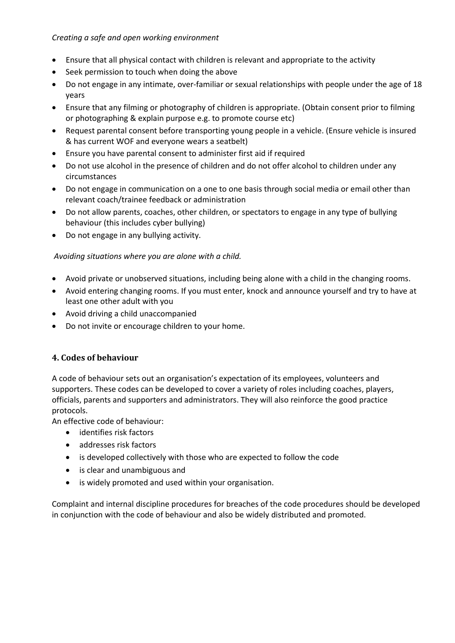*Creating a safe and open working environment*

- Ensure that all physical contact with children is relevant and appropriate to the activity
- Seek permission to touch when doing the above
- Do not engage in any intimate, over-familiar or sexual relationships with people under the age of 18 years
- Ensure that any filming or photography of children is appropriate. (Obtain consent prior to filming or photographing & explain purpose e.g. to promote course etc)
- Request parental consent before transporting young people in a vehicle. (Ensure vehicle is insured & has current WOF and everyone wears a seatbelt)
- Ensure you have parental consent to administer first aid if required
- Do not use alcohol in the presence of children and do not offer alcohol to children under any circumstances
- Do not engage in communication on a one to one basis through social media or email other than relevant coach/trainee feedback or administration
- Do not allow parents, coaches, other children, or spectators to engage in any type of bullying behaviour (this includes cyber bullying)
- Do not engage in any bullying activity.

*Avoiding situations where you are alone with a child.* 

- Avoid private or unobserved situations, including being alone with a child in the changing rooms.
- Avoid entering changing rooms. If you must enter, knock and announce yourself and try to have at least one other adult with you
- Avoid driving a child unaccompanied
- Do not invite or encourage children to your home.

## **4. Codes of behaviour**

A code of behaviour sets out an organisation's expectation of its employees, volunteers and supporters. These codes can be developed to cover a variety of roles including coaches, players, officials, parents and supporters and administrators. They will also reinforce the good practice protocols.

An effective code of behaviour:

- identifies risk factors
- addresses risk factors
- is developed collectively with those who are expected to follow the code
- is clear and unambiguous and
- is widely promoted and used within your organisation.

Complaint and internal discipline procedures for breaches of the code procedures should be developed in conjunction with the code of behaviour and also be widely distributed and promoted.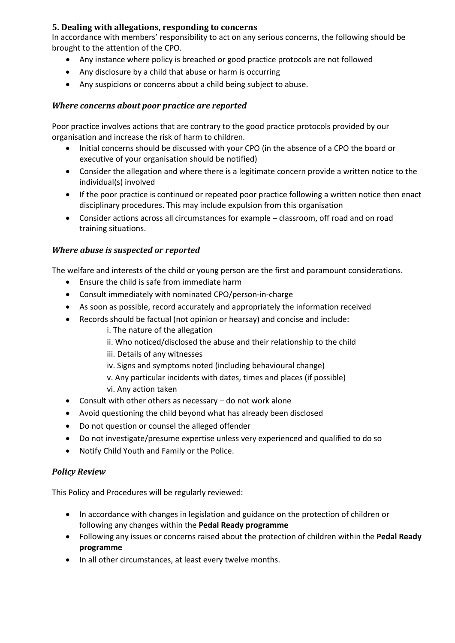## **5. Dealing with allegations, responding to concerns**

In accordance with members' responsibility to act on any serious concerns, the following should be brought to the attention of the CPO.

- Any instance where policy is breached or good practice protocols are not followed
- Any disclosure by a child that abuse or harm is occurring
- Any suspicions or concerns about a child being subject to abuse.

## *Where concerns about poor practice are reported*

Poor practice involves actions that are contrary to the good practice protocols provided by our organisation and increase the risk of harm to children.

- Initial concerns should be discussed with your CPO (in the absence of a CPO the board or executive of your organisation should be notified)
- Consider the allegation and where there is a legitimate concern provide a written notice to the individual(s) involved
- If the poor practice is continued or repeated poor practice following a written notice then enact disciplinary procedures. This may include expulsion from this organisation
- Consider actions across all circumstances for example classroom, off road and on road training situations.

## *Where abuse is suspected or reported*

The welfare and interests of the child or young person are the first and paramount considerations.

- Ensure the child is safe from immediate harm
- Consult immediately with nominated CPO/person-in-charge
- As soon as possible, record accurately and appropriately the information received
- Records should be factual (not opinion or hearsay) and concise and include:
	- i. The nature of the allegation
	- ii. Who noticed/disclosed the abuse and their relationship to the child
	- iii. Details of any witnesses
	- iv. Signs and symptoms noted (including behavioural change)
	- v. Any particular incidents with dates, times and places (if possible)
	- vi. Any action taken
- Consult with other others as necessary do not work alone
- Avoid questioning the child beyond what has already been disclosed
- Do not question or counsel the alleged offender
- Do not investigate/presume expertise unless very experienced and qualified to do so
- Notify Child Youth and Family or the Police.

## *Policy Review*

This Policy and Procedures will be regularly reviewed:

- In accordance with changes in legislation and guidance on the protection of children or following any changes within the **Pedal Ready programme**
- Following any issues or concerns raised about the protection of children within the **Pedal Ready programme**
- In all other circumstances, at least every twelve months.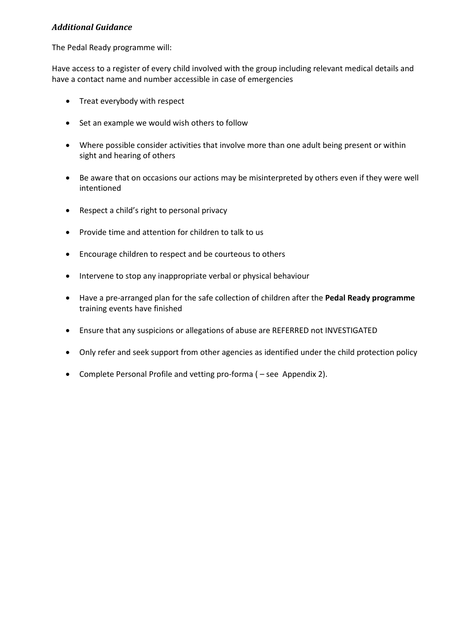#### *Additional Guidance*

The Pedal Ready programme will:

Have access to a register of every child involved with the group including relevant medical details and have a contact name and number accessible in case of emergencies

- Treat everybody with respect
- Set an example we would wish others to follow
- Where possible consider activities that involve more than one adult being present or within sight and hearing of others
- Be aware that on occasions our actions may be misinterpreted by others even if they were well intentioned
- Respect a child's right to personal privacy
- Provide time and attention for children to talk to us
- Encourage children to respect and be courteous to others
- Intervene to stop any inappropriate verbal or physical behaviour
- Have a pre-arranged plan for the safe collection of children after the **Pedal Ready programme**  training events have finished
- Ensure that any suspicions or allegations of abuse are REFERRED not INVESTIGATED
- Only refer and seek support from other agencies as identified under the child protection policy
- Complete Personal Profile and vetting pro-forma ( see Appendix 2).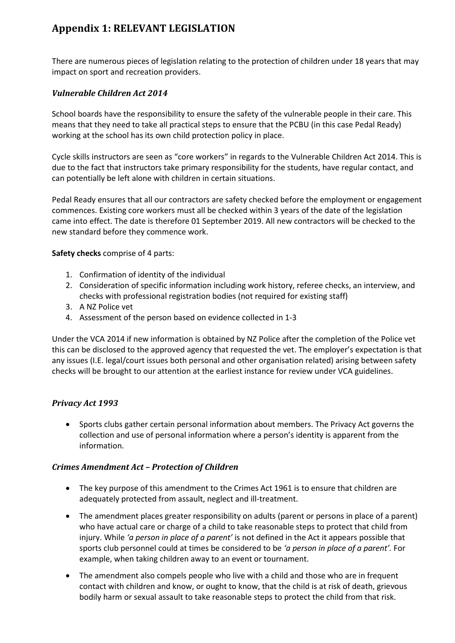# **Appendix 1: RELEVANT LEGISLATION**

There are numerous pieces of legislation relating to the protection of children under 18 years that may impact on sport and recreation providers.

## *Vulnerable Children Act 2014*

School boards have the responsibility to ensure the safety of the vulnerable people in their care. This means that they need to take all practical steps to ensure that the PCBU (in this case Pedal Ready) working at the school has its own child protection policy in place.

Cycle skills instructors are seen as "core workers" in regards to the Vulnerable Children Act 2014. This is due to the fact that instructors take primary responsibility for the students, have regular contact, and can potentially be left alone with children in certain situations.

Pedal Ready ensures that all our contractors are safety checked before the employment or engagement commences. Existing core workers must all be checked within 3 years of the date of the legislation came into effect. The date is therefore 01 September 2019. All new contractors will be checked to the new standard before they commence work.

**Safety checks** comprise of 4 parts:

- 1. Confirmation of identity of the individual
- 2. Consideration of specific information including work history, referee checks, an interview, and checks with professional registration bodies (not required for existing staff)
- 3. A NZ Police vet
- 4. Assessment of the person based on evidence collected in 1-3

Under the VCA 2014 if new information is obtained by NZ Police after the completion of the Police vet this can be disclosed to the approved agency that requested the vet. The employer's expectation is that any issues (I.E. legal/court issues both personal and other organisation related) arising between safety checks will be brought to our attention at the earliest instance for review under VCA guidelines.

## *Privacy Act 1993*

• Sports clubs gather certain personal information about members. The Privacy Act governs the collection and use of personal information where a person's identity is apparent from the information.

## *Crimes Amendment Act – Protection of Children*

- The key purpose of this amendment to the Crimes Act 1961 is to ensure that children are adequately protected from assault, neglect and ill-treatment.
- The amendment places greater responsibility on adults (parent or persons in place of a parent) who have actual care or charge of a child to take reasonable steps to protect that child from injury. While *'a person in place of a parent'* is not defined in the Act it appears possible that sports club personnel could at times be considered to be *'a person in place of a parent'.* For example, when taking children away to an event or tournament.
- The amendment also compels people who live with a child and those who are in frequent contact with children and know, or ought to know, that the child is at risk of death, grievous bodily harm or sexual assault to take reasonable steps to protect the child from that risk.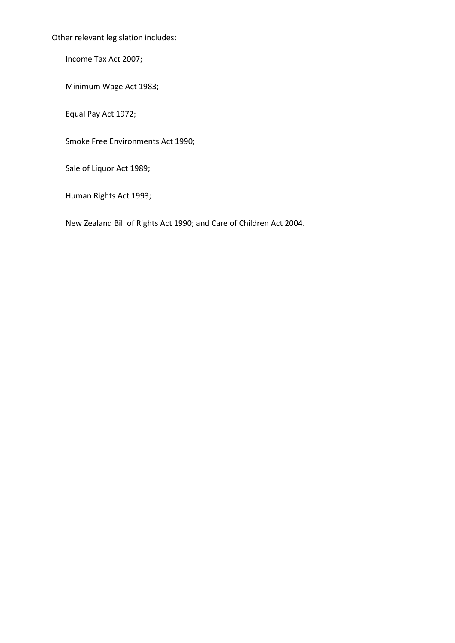Other relevant legislation includes:

Income Tax Act 2007;

Minimum Wage Act 1983;

Equal Pay Act 1972;

Smoke Free Environments Act 1990;

Sale of Liquor Act 1989;

Human Rights Act 1993;

New Zealand Bill of Rights Act 1990; and Care of Children Act 2004.